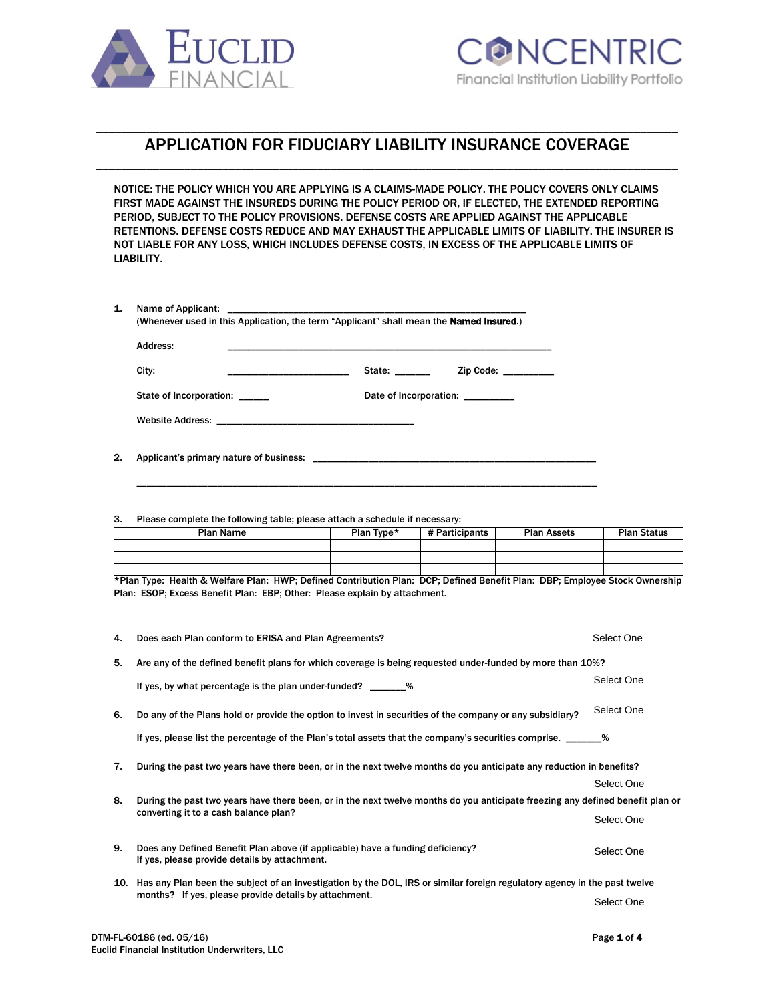



## \_\_\_\_\_\_\_\_\_\_\_\_\_\_\_\_\_\_\_\_\_\_\_\_\_\_\_\_\_\_\_\_\_\_\_\_\_\_\_\_\_\_\_\_\_\_\_\_\_\_\_\_\_\_\_\_\_\_\_\_\_\_\_\_\_\_\_\_\_\_\_\_\_\_\_\_\_\_\_\_\_\_\_\_\_\_\_\_\_\_\_\_ APPLICATION FOR FIDUCIARY LIABILITY INSURANCE COVERAGE \_\_\_\_\_\_\_\_\_\_\_\_\_\_\_\_\_\_\_\_\_\_\_\_\_\_\_\_\_\_\_\_\_\_\_\_\_\_\_\_\_\_\_\_\_\_\_\_\_\_\_\_\_\_\_\_\_\_\_\_\_\_\_\_\_\_\_\_\_\_\_\_\_\_\_\_\_\_\_\_\_\_\_\_\_\_\_\_\_\_\_\_

NOTICE: THE POLICY WHICH YOU ARE APPLYING IS A CLAIMS-MADE POLICY. THE POLICY COVERS ONLY CLAIMS FIRST MADE AGAINST THE INSUREDS DURING THE POLICY PERIOD OR, IF ELECTED, THE EXTENDED REPORTING PERIOD, SUBJECT TO THE POLICY PROVISIONS. DEFENSE COSTS ARE APPLIED AGAINST THE APPLICABLE RETENTIONS. DEFENSE COSTS REDUCE AND MAY EXHAUST THE APPLICABLE LIMITS OF LIABILITY. THE INSURER IS NOT LIABLE FOR ANY LOSS, WHICH INCLUDES DEFENSE COSTS, IN EXCESS OF THE APPLICABLE LIMITS OF LIABILITY.

| Address:                |                                   |
|-------------------------|-----------------------------------|
| City:                   | State:<br>Zip Code: $\frac{1}{2}$ |
| State of Incorporation: | Date of Incorporation:            |

\_\_\_\_\_\_\_\_\_\_\_\_\_\_\_\_\_\_\_\_\_\_\_\_\_\_\_\_\_\_\_\_\_\_\_\_\_\_\_\_\_\_\_\_\_\_\_\_\_\_\_\_\_\_\_\_\_\_\_\_\_\_\_\_\_\_\_\_\_\_\_\_\_\_\_\_\_\_\_\_\_\_\_\_\_\_\_\_\_\_\_

2. Applicant's primary nature of business: \_

3. Please complete the following table; please attach a schedule if necessary:

| __               |            |                |                    |                    |
|------------------|------------|----------------|--------------------|--------------------|
| <b>Plan Name</b> | Plan Type* | # Participants | <b>Plan Assets</b> | <b>Plan Status</b> |
|                  |            |                |                    |                    |
|                  |            |                |                    |                    |
|                  |            |                |                    |                    |

\*Plan Type: Health & Welfare Plan: HWP; Defined Contribution Plan: DCP; Defined Benefit Plan: DBP; Employee Stock Ownership Plan: ESOP; Excess Benefit Plan: EBP; Other: Please explain by attachment.

| 4. | Does each Plan conform to ERISA and Plan Agreements?                                                                            | Select One |  |
|----|---------------------------------------------------------------------------------------------------------------------------------|------------|--|
| 5. | Are any of the defined benefit plans for which coverage is being requested under-funded by more than 10%?                       |            |  |
|    | If yes, by what percentage is the plan under-funded? ________%                                                                  | Select One |  |
| 6. | Do any of the Plans hold or provide the option to invest in securities of the company or any subsidiary?                        | Select One |  |
|    | If yes, please list the percentage of the Plan's total assets that the company's securities comprise. ______ %                  |            |  |
| 7. | During the past two years have there been, or in the next twelve months do you anticipate any reduction in benefits?            |            |  |
|    |                                                                                                                                 | Select One |  |
| 8. | During the past two years have there been, or in the next twelve months do you anticipate freezing any defined benefit plan or  |            |  |
|    | converting it to a cash balance plan?                                                                                           | Select One |  |
| 9. | Does any Defined Benefit Plan above (if applicable) have a funding deficiency?<br>If yes, please provide details by attachment. | Select One |  |
|    | 10. Has any Plan been the subject of an investigation by the DOL, IRS or similar foreign regulatory agency in the past twelve   |            |  |
|    | months? If yes, please provide details by attachment.                                                                           | Select One |  |
|    |                                                                                                                                 |            |  |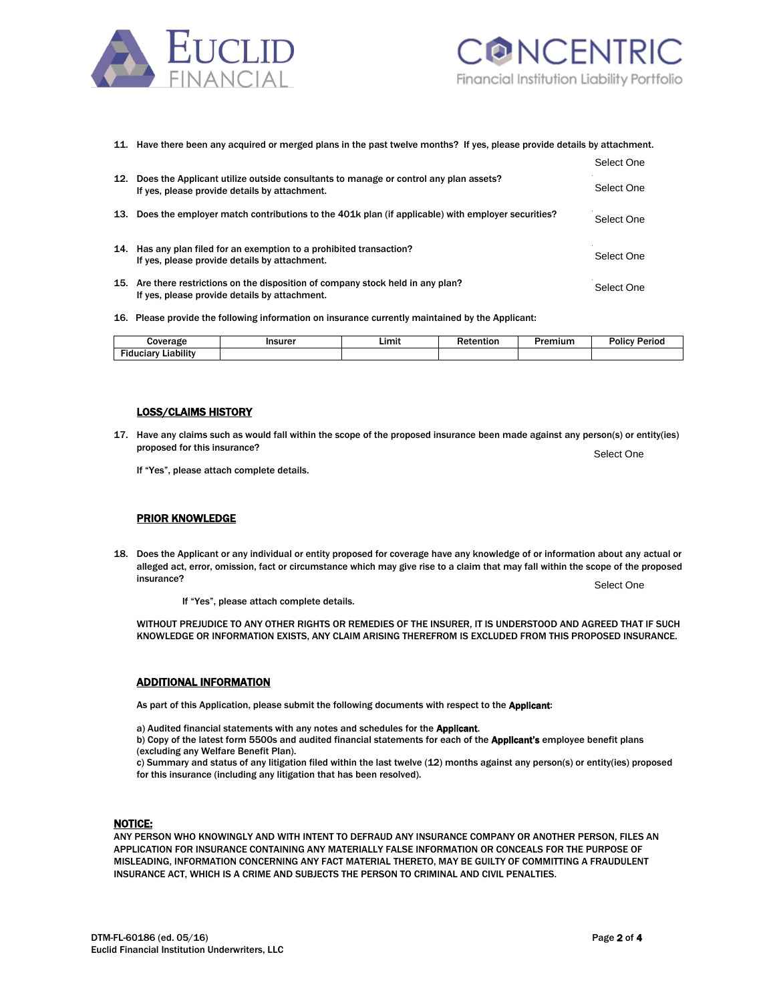



# 11. Have there been any acquired or merged plans in the past twelve months? If yes, please provide details by attachment.

|     |                                                                                                                                       | Select One |
|-----|---------------------------------------------------------------------------------------------------------------------------------------|------------|
| 12. | Does the Applicant utilize outside consultants to manage or control any plan assets?<br>If yes, please provide details by attachment. | Select One |
|     | 13. Does the employer match contributions to the 401k plan (if applicable) with employer securities?                                  | Select One |
|     | 14. Has any plan filed for an exemption to a prohibited transaction?<br>If yes, please provide details by attachment.                 | Select One |
|     | 15. Are there restrictions on the disposition of company stock held in any plan?<br>If yes, please provide details by attachment.     | Select One |

16. Please provide the following information on insurance currently maintained by the Applicant:

| `overa<br>.<br>$\sim$               | .<br>. | ∟imit | ----<br>__<br>. | າເເເກ | w<br> |
|-------------------------------------|--------|-------|-----------------|-------|-------|
| <br>----<br>---<br>٠ıc<br>⊥iabilit⊻ |        |       |                 |       |       |

### LOSS/CLAIMS HISTORY

17. Have any claims such as would fall within the scope of the proposed insurance been made against any person(s) or entity(ies) proposed for this insurance?

If "Yes", please attach complete details.

#### PRIOR KNOWLEDGE

18. Does the Applicant or any individual or entity proposed for coverage have any knowledge of or information about any actual or alleged act, error, omission, fact or circumstance which may give rise to a claim that may fall within the scope of the proposed **insurance?** The contract of the contract of the contract of the contract of the contract of the contract of the contract of the contract of the contract of the contract of the contract of the contract of the contract of t

If "Yes", please attach complete details.

WITHOUT PREJUDICE TO ANY OTHER RIGHTS OR REMEDIES OF THE INSURER. IT IS UNDERSTOOD AND AGREED THAT IF SUCH KNOWLEDGE OR INFORMATION EXISTS, ANY CLAIM ARISING THEREFROM IS EXCLUDED FROM THIS PROPOSED INSURANCE.

#### ADDITIONAL INFORMATION

As part of this Application, please submit the following documents with respect to the Applicant:

a) Audited financial statements with any notes and schedules for the Applicant.

b) Copy of the latest form 5500s and audited financial statements for each of the Applicant's employee benefit plans (excluding any Welfare Benefit Plan).

c) Summary and status of any litigation filed within the last twelve (12) months against any person(s) or entity(ies) proposed for this insurance (including any litigation that has been resolved).

#### NOTICE:

ANY PERSON WHO KNOWINGLY AND WITH INTENT TO DEFRAUD ANY INSURANCE COMPANY OR ANOTHER PERSON, FILES AN APPLICATION FOR INSURANCE CONTAINING ANY MATERIALLY FALSE INFORMATION OR CONCEALS FOR THE PURPOSE OF MISLEADING, INFORMATION CONCERNING ANY FACT MATERIAL THERETO, MAY BE GUILTY OF COMMITTING A FRAUDULENT INSURANCE ACT, WHICH IS A CRIME AND SUBJECTS THE PERSON TO CRIMINAL AND CIVIL PENALTIES.

Select One

Select One

Select One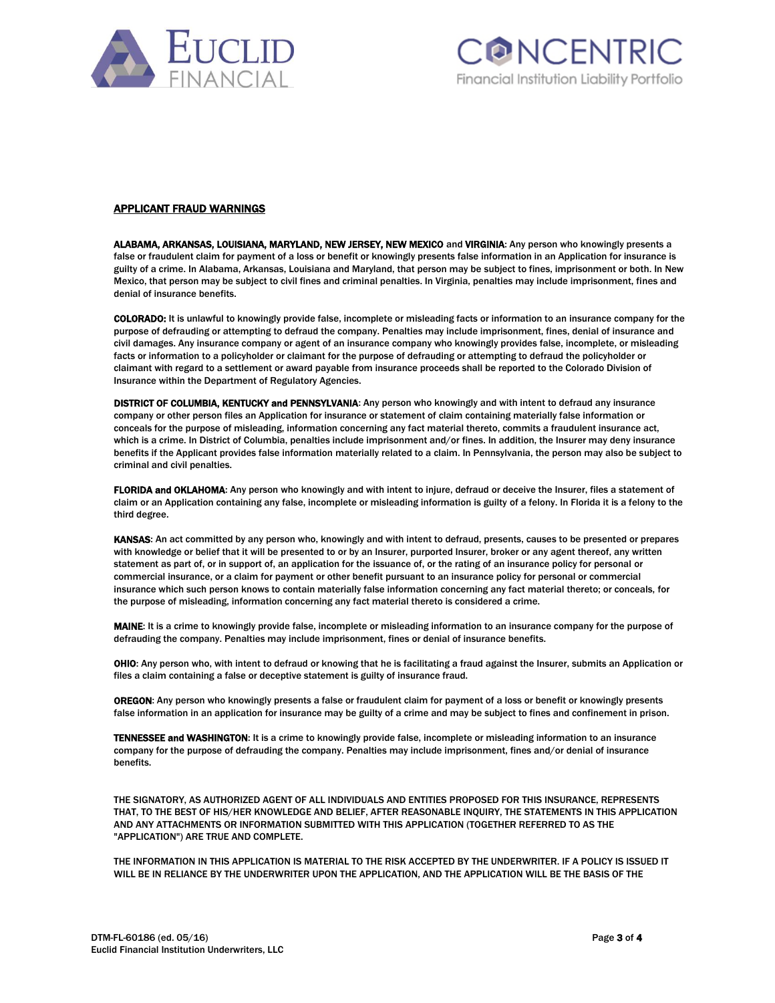



#### APPLICANT FRAUD WARNINGS

ALABAMA, ARKANSAS, LOUISIANA, MARYLAND, NEW JERSEY, NEW MEXICO and VIRGINIA: Any person who knowingly presents a false or fraudulent claim for payment of a loss or benefit or knowingly presents false information in an Application for insurance is guilty of a crime. In Alabama, Arkansas, Louisiana and Maryland, that person may be subject to fines, imprisonment or both. In New Mexico, that person may be subject to civil fines and criminal penalties. In Virginia, penalties may include imprisonment, fines and denial of insurance benefits.

COLORADO: It is unlawful to knowingly provide false, incomplete or misleading facts or information to an insurance company for the purpose of defrauding or attempting to defraud the company. Penalties may include imprisonment, fines, denial of insurance and civil damages. Any insurance company or agent of an insurance company who knowingly provides false, incomplete, or misleading facts or information to a policyholder or claimant for the purpose of defrauding or attempting to defraud the policyholder or claimant with regard to a settlement or award payable from insurance proceeds shall be reported to the Colorado Division of Insurance within the Department of Regulatory Agencies.

DISTRICT OF COLUMBIA, KENTUCKY and PENNSYLVANIA: Any person who knowingly and with intent to defraud any insurance company or other person files an Application for insurance or statement of claim containing materially false information or conceals for the purpose of misleading, information concerning any fact material thereto, commits a fraudulent insurance act, which is a crime. In District of Columbia, penalties include imprisonment and/or fines. In addition, the Insurer may deny insurance benefits if the Applicant provides false information materially related to a claim. In Pennsylvania, the person may also be subject to criminal and civil penalties.

FLORIDA and OKLAHOMA: Any person who knowingly and with intent to injure, defraud or deceive the Insurer, files a statement of claim or an Application containing any false, incomplete or misleading information is guilty of a felony. In Florida it is a felony to the third degree.

KANSAS: An act committed by any person who, knowingly and with intent to defraud, presents, causes to be presented or prepares with knowledge or belief that it will be presented to or by an Insurer, purported Insurer, broker or any agent thereof, any written statement as part of, or in support of, an application for the issuance of, or the rating of an insurance policy for personal or commercial insurance, or a claim for payment or other benefit pursuant to an insurance policy for personal or commercial insurance which such person knows to contain materially false information concerning any fact material thereto; or conceals, for the purpose of misleading, information concerning any fact material thereto is considered a crime.

MAINE: It is a crime to knowingly provide false, incomplete or misleading information to an insurance company for the purpose of defrauding the company. Penalties may include imprisonment, fines or denial of insurance benefits.

OHIO: Any person who, with intent to defraud or knowing that he is facilitating a fraud against the Insurer, submits an Application or files a claim containing a false or deceptive statement is guilty of insurance fraud.

OREGON: Any person who knowingly presents a false or fraudulent claim for payment of a loss or benefit or knowingly presents false information in an application for insurance may be guilty of a crime and may be subject to fines and confinement in prison.

TENNESSEE and WASHINGTON: It is a crime to knowingly provide false, incomplete or misleading information to an insurance company for the purpose of defrauding the company. Penalties may include imprisonment, fines and/or denial of insurance benefits.

THE SIGNATORY, AS AUTHORIZED AGENT OF ALL INDIVIDUALS AND ENTITIES PROPOSED FOR THIS INSURANCE, REPRESENTS THAT, TO THE BEST OF HIS/HER KNOWLEDGE AND BELIEF, AFTER REASONABLE INQUIRY, THE STATEMENTS IN THIS APPLICATION AND ANY ATTACHMENTS OR INFORMATION SUBMITTED WITH THIS APPLICATION (TOGETHER REFERRED TO AS THE "APPLICATION") ARE TRUE AND COMPLETE.

THE INFORMATION IN THIS APPLICATION IS MATERIAL TO THE RISK ACCEPTED BY THE UNDERWRITER. IF A POLICY IS ISSUED IT WILL BE IN RELIANCE BY THE UNDERWRITER UPON THE APPLICATION, AND THE APPLICATION WILL BE THE BASIS OF THE